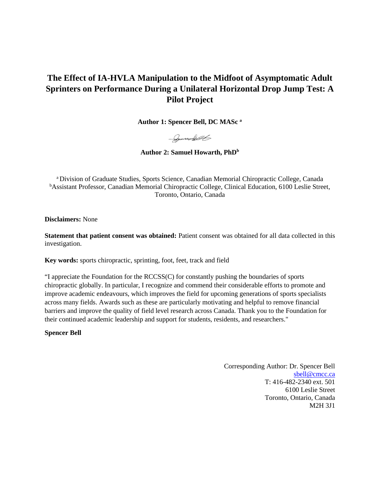# **The Effect of IA-HVLA Manipulation to the Midfoot of Asymptomatic Adult Sprinters on Performance During a Unilateral Horizontal Drop Jump Test: A Pilot Project**

**Author 1: Spencer Bell, DC MASc a**

- Joseph 1

Author 2: Samuel Howarth, PhD<sup>b</sup>

a Division of Graduate Studies, Sports Science, Canadian Memorial Chiropractic College, Canada <sup>b</sup>Assistant Professor, Canadian Memorial Chiropractic College, Clinical Education, 6100 Leslie Street, Toronto, Ontario, Canada

**Disclaimers:** None

**Statement that patient consent was obtained:** Patient consent was obtained for all data collected in this investigation.

**Key words:** sports chiropractic, sprinting, foot, feet, track and field

"I appreciate the Foundation for the RCCSS(C) for constantly pushing the boundaries of sports chiropractic globally. In particular, I recognize and commend their considerable efforts to promote and improve academic endeavours, which improves the field for upcoming generations of sports specialists across many fields. Awards such as these are particularly motivating and helpful to remove financial barriers and improve the quality of field level research across Canada. Thank you to the Foundation for their continued academic leadership and support for students, residents, and researchers."

**Spencer Bell**

Corresponding Author: Dr. Spencer Bell [sbell@cmcc.ca](mailto:sbell@cmcc.ca) T: 416-482-2340 ext. 501 6100 Leslie Street Toronto, Ontario, Canada M2H 3J1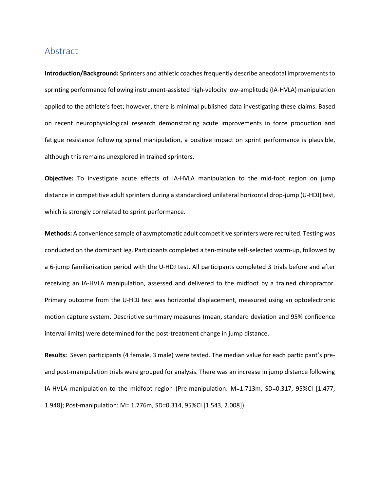### Abstract

**Introduction/Background:** Sprinters and athletic coaches frequently describe anecdotal improvements to sprinting performance following instrument-assisted high-velocity low-amplitude (IA-HVLA) manipulation applied to the athlete's feet; however, there is minimal published data investigating these claims. Based on recent neurophysiological research demonstrating acute improvements in force production and fatigue resistance following spinal manipulation, a positive impact on sprint performance is plausible, although this remains unexplored in trained sprinters.

**Objective:** To investigate acute effects of IA-HVLA manipulation to the mid-foot region on jump distance in competitive adult sprinters during a standardized unilateral horizontal drop-jump (U-HDJ) test, which is strongly correlated to sprint performance.

**Methods:** A convenience sample of asymptomatic adult competitive sprinters were recruited. Testing was conducted on the dominant leg. Participants completed a ten-minute self-selected warm-up, followed by a 6-jump familiarization period with the U-HDJ test. All participants completed 3 trials before and after receiving an IA-HVLA manipulation, assessed and delivered to the midfoot by a trained chiropractor. Primary outcome from the U-HDJ test was horizontal displacement, measured using an optoelectronic motion capture system. Descriptive summary measures (mean, standard deviation and 95% confidence interval limits) were determined for the post-treatment change in jump distance.

**Results:** Seven participants (4 female, 3 male) were tested. The median value for each participant's preand post-manipulation trials were grouped for analysis. There was an increase in jump distance following IA-HVLA manipulation to the midfoot region (Pre-manipulation: M=1.713m, SD=0.317, 95%CI [1.477, 1.948]; Post-manipulation: M= 1.776m, SD=0.314, 95%CI [1.543, 2.008]).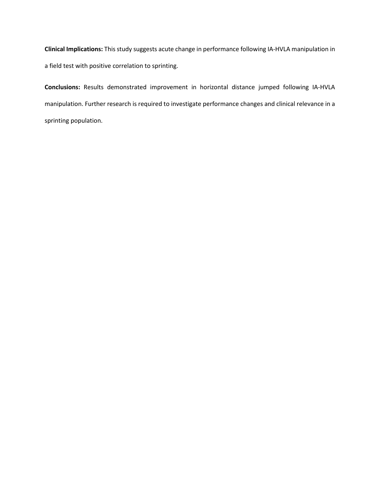**Clinical Implications:** This study suggests acute change in performance following IA-HVLA manipulation in a field test with positive correlation to sprinting.

**Conclusions:** Results demonstrated improvement in horizontal distance jumped following IA-HVLA manipulation. Further research is required to investigate performance changes and clinical relevance in a sprinting population.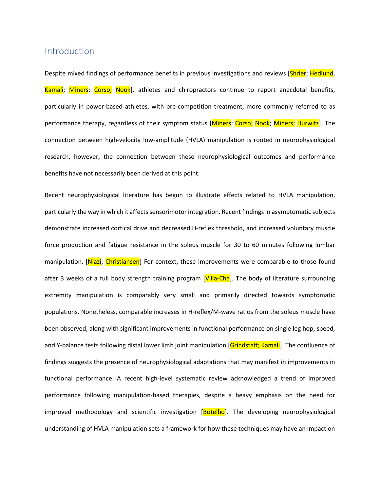## Introduction

Despite mixed findings of performance benefits in previous investigations and reviews [Shrier; Hedlund, Kamali; Miners; Corso; Nook], athletes and chiropractors continue to report anecdotal benefits, particularly in power-based athletes, with pre-competition treatment, more commonly referred to as performance therapy, regardless of their symptom status [Miners; Corso; Nook; Miners; Hurwitz]. The connection between high-velocity low-amplitude (HVLA) manipulation is rooted in neurophysiological research, however, the connection between these neurophysiological outcomes and performance benefits have not necessarily been derived at this point.

Recent neurophysiological literature has begun to illustrate effects related to HVLA manipulation, particularly the way in which it affects sensorimotor integration. Recent findings in asymptomatic subjects demonstrate increased cortical drive and decreased H-reflex threshold, and increased voluntary muscle force production and fatigue resistance in the soleus muscle for 30 to 60 minutes following lumbar manipulation. [Niazi; Christiansen] For context, these improvements were comparable to those found after 3 weeks of a full body strength training program [Villa-Cha]. The body of literature surrounding extremity manipulation is comparably very small and primarily directed towards symptomatic populations. Nonetheless, comparable increases in H-reflex/M-wave ratios from the soleus muscle have been observed, along with significant improvements in functional performance on single leg hop, speed, and Y-balance tests following distal lower limb joint manipulation [Grindstaff; Kamali]. The confluence of findings suggests the presence of neurophysiological adaptations that may manifest in improvements in functional performance. A recent high-level systematic review acknowledged a trend of improved performance following manipulation-based therapies, despite a heavy emphasis on the need for improved methodology and scientific investigation [Botelho]. The developing neurophysiological understanding of HVLA manipulation sets a framework for how these techniques may have an impact on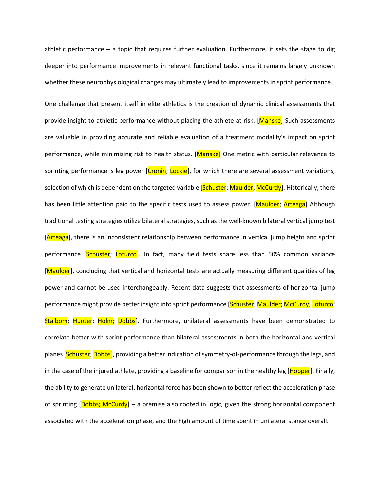athletic performance – a topic that requires further evaluation. Furthermore, it sets the stage to dig deeper into performance improvements in relevant functional tasks, since it remains largely unknown whether these neurophysiological changes may ultimately lead to improvements in sprint performance.

One challenge that present itself in elite athletics is the creation of dynamic clinical assessments that provide insight to athletic performance without placing the athlete at risk. [Manske] Such assessments are valuable in providing accurate and reliable evaluation of a treatment modality's impact on sprint performance, while minimizing risk to health status. [Manske] One metric with particular relevance to sprinting performance is leg power [Cronin; Lockie], for which there are several assessment variations, selection of which is dependent on the targeted variable [Schuster; Maulder; McCurdy]. Historically, there has been little attention paid to the specific tests used to assess power. [Maulder; Arteaga] Although traditional testing strategies utilize bilateral strategies, such as the well-known bilateral vertical jump test [**Arteaga**], there is an inconsistent relationship between performance in vertical jump height and sprint performance [Schuster; Loturco]. In fact, many field tests share less than 50% common variance [Maulder], concluding that vertical and horizontal tests are actually measuring different qualities of leg power and cannot be used interchangeably. Recent data suggests that assessments of horizontal jump performance might provide better insight into sprint performance [Schuster; Maulder; McCurdy; Loturco; Stalbom; Hunter; Holm; Dobbs]. Furthermore, unilateral assessments have been demonstrated to correlate better with sprint performance than bilateral assessments in both the horizontal and vertical planes [Schuster; Dobbs], providing a better indication of symmetry-of-performance through the legs, and in the case of the injured athlete, providing a baseline for comparison in the healthy leg [Hopper]. Finally, the ability to generate unilateral, horizontal force has been shown to better reflect the acceleration phase of sprinting [Dobbs; McCurdy] – a premise also rooted in logic, given the strong horizontal component associated with the acceleration phase, and the high amount of time spent in unilateral stance overall.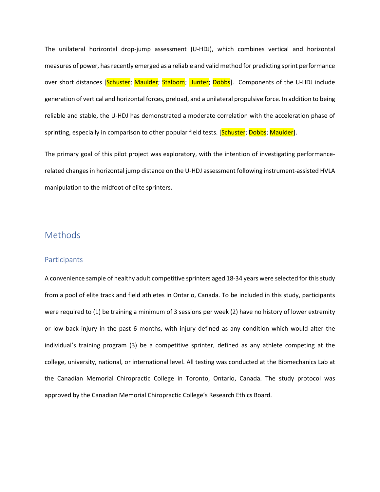The unilateral horizontal drop-jump assessment (U-HDJ), which combines vertical and horizontal measures of power, has recently emerged as a reliable and valid method for predicting sprint performance over short distances [Schuster; Maulder; Stalbom; Hunter; Dobbs]. Components of the U-HDJ include generation of vertical and horizontal forces, preload, and a unilateral propulsive force. In addition to being reliable and stable, the U-HDJ has demonstrated a moderate correlation with the acceleration phase of sprinting, especially in comparison to other popular field tests. [Schuster; Dobbs; Maulder].

The primary goal of this pilot project was exploratory, with the intention of investigating performancerelated changes in horizontal jump distance on the U-HDJ assessment following instrument-assisted HVLA manipulation to the midfoot of elite sprinters.

## Methods

### **Participants**

A convenience sample of healthy adult competitive sprinters aged 18-34 years were selected for this study from a pool of elite track and field athletes in Ontario, Canada. To be included in this study, participants were required to (1) be training a minimum of 3 sessions per week (2) have no history of lower extremity or low back injury in the past 6 months, with injury defined as any condition which would alter the individual's training program (3) be a competitive sprinter, defined as any athlete competing at the college, university, national, or international level. All testing was conducted at the Biomechanics Lab at the Canadian Memorial Chiropractic College in Toronto, Ontario, Canada. The study protocol was approved by the Canadian Memorial Chiropractic College's Research Ethics Board.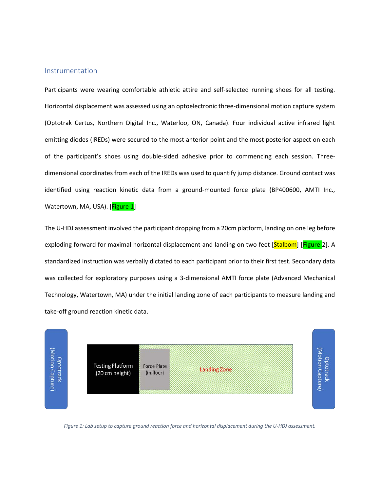#### Instrumentation

Participants were wearing comfortable athletic attire and self-selected running shoes for all testing. Horizontal displacement was assessed using an optoelectronic three-dimensional motion capture system (Optotrak Certus, Northern Digital Inc., Waterloo, ON, Canada). Four individual active infrared light emitting diodes (IREDs) were secured to the most anterior point and the most posterior aspect on each of the participant's shoes using double-sided adhesive prior to commencing each session. Threedimensional coordinates from each of the IREDs was used to quantify jump distance. Ground contact was identified using reaction kinetic data from a ground-mounted force plate (BP400600, AMTI Inc., Watertown, MA, USA). [Figure 1]

The U-HDJ assessment involved the participant dropping from a 20cm platform, landing on one leg before exploding forward for maximal horizontal displacement and landing on two feet [Stalbom] [Figure 2]. A standardized instruction was verbally dictated to each participant prior to their first test. Secondary data was collected for exploratory purposes using a 3-dimensional AMTI force plate (Advanced Mechanical Technology, Watertown, MA) under the initial landing zone of each participants to measure landing and take-off ground reaction kinetic data.



*Figure 1: Lab setup to capture ground reaction force and horizontal displacement during the U-HDJ assessment.*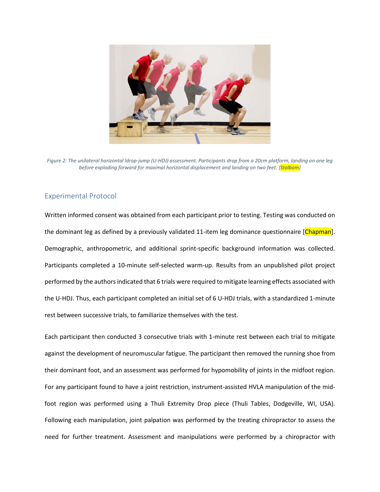

*Figure 2: The unilateral horizontal ldrop-jump (U-HDJ) assessment. Participants drop from a 20cm platform, landing on one leg before exploding forward for maximal horizontal displacement and landing on two feet. [Stalbom]*

### Experimental Protocol

Written informed consent was obtained from each participant prior to testing. Testing was conducted on the dominant leg as defined by a previously validated 11-item leg dominance questionnaire [Chapman]. Demographic, anthropometric, and additional sprint-specific background information was collected. Participants completed a 10-minute self-selected warm-up. Results from an unpublished pilot project performed by the authors indicated that 6 trials were required to mitigate learning effects associated with the U-HDJ. Thus, each participant completed an initial set of 6 U-HDJ trials, with a standardized 1-minute rest between successive trials, to familiarize themselves with the test.

Each participant then conducted 3 consecutive trials with 1-minute rest between each trial to mitigate against the development of neuromuscular fatigue. The participant then removed the running shoe from their dominant foot, and an assessment was performed for hypomobility of joints in the midfoot region. For any participant found to have a joint restriction, instrument-assisted HVLA manipulation of the midfoot region was performed using a Thuli Extremity Drop piece (Thuli Tables, Dodgeville, WI, USA). Following each manipulation, joint palpation was performed by the treating chiropractor to assess the need for further treatment. Assessment and manipulations were performed by a chiropractor with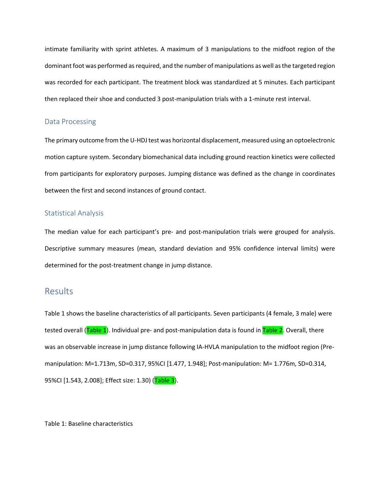intimate familiarity with sprint athletes. A maximum of 3 manipulations to the midfoot region of the dominant foot was performed as required, and the number of manipulations as well as the targeted region was recorded for each participant. The treatment block was standardized at 5 minutes. Each participant then replaced their shoe and conducted 3 post-manipulation trials with a 1-minute rest interval.

### Data Processing

The primary outcome from the U-HDJ test was horizontal displacement, measured using an optoelectronic motion capture system. Secondary biomechanical data including ground reaction kinetics were collected from participants for exploratory purposes. Jumping distance was defined as the change in coordinates between the first and second instances of ground contact.

### Statistical Analysis

The median value for each participant's pre- and post-manipulation trials were grouped for analysis. Descriptive summary measures (mean, standard deviation and 95% confidence interval limits) were determined for the post-treatment change in jump distance.

## **Results**

Table 1 shows the baseline characteristics of all participants. Seven participants (4 female, 3 male) were tested overall (Table 1). Individual pre- and post-manipulation data is found in Table 2. Overall, there was an observable increase in jump distance following IA-HVLA manipulation to the midfoot region (Premanipulation: M=1.713m, SD=0.317, 95%CI [1.477, 1.948]; Post-manipulation: M= 1.776m, SD=0.314, 95%CI [1.543, 2.008]; Effect size: 1.30) (Table 3).

Table 1: Baseline characteristics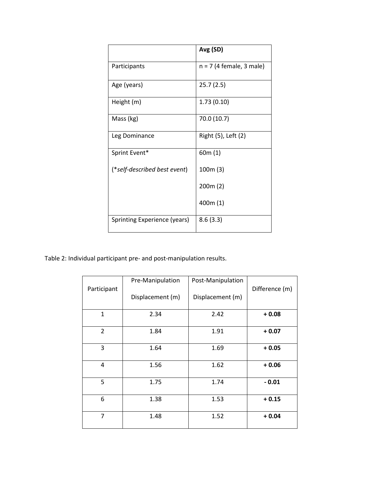|                              | Avg (SD)                   |  |
|------------------------------|----------------------------|--|
| Participants                 | $n = 7$ (4 female, 3 male) |  |
| Age (years)                  | 25.7(2.5)                  |  |
| Height (m)                   | 1.73(0.10)                 |  |
| Mass (kg)                    | 70.0 (10.7)                |  |
| Leg Dominance                | Right (5), Left (2)        |  |
| Sprint Event*                | 60m(1)                     |  |
| (*self-described best event) | 100m(3)                    |  |
|                              | 200m(2)                    |  |
|                              | 400m (1)                   |  |
| Sprinting Experience (years) | 8.6(3.3)                   |  |

Table 2: Individual participant pre- and post-manipulation results.

|                | Pre-Manipulation | Post-Manipulation |                |
|----------------|------------------|-------------------|----------------|
| Participant    |                  |                   | Difference (m) |
|                | Displacement (m) | Displacement (m)  |                |
|                |                  |                   |                |
| $\mathbf{1}$   | 2.34             | 2.42              | $+0.08$        |
|                |                  |                   |                |
| $\overline{2}$ | 1.84             | 1.91              | $+0.07$        |
|                |                  |                   |                |
| 3              | 1.64             | 1.69              | $+0.05$        |
|                |                  |                   |                |
| $\overline{4}$ | 1.56             | 1.62              | $+0.06$        |
|                |                  |                   |                |
| 5              | 1.75             | 1.74              | $-0.01$        |
|                |                  |                   |                |
| 6              | 1.38             | 1.53              | $+0.15$        |
|                |                  |                   |                |
| 7              | 1.48             | 1.52              | $+0.04$        |
|                |                  |                   |                |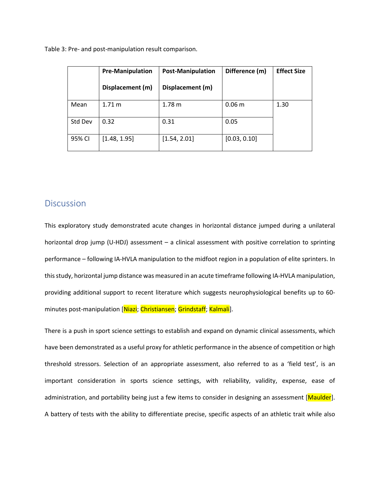Table 3: Pre- and post-manipulation result comparison.

|         | <b>Pre-Manipulation</b> | <b>Post-Manipulation</b> | Difference (m)    | <b>Effect Size</b> |
|---------|-------------------------|--------------------------|-------------------|--------------------|
|         | Displacement (m)        | Displacement (m)         |                   |                    |
| Mean    | 1.71 m                  | 1.78 m                   | 0.06 <sub>m</sub> | 1.30               |
| Std Dev | 0.32                    | 0.31                     | 0.05              |                    |
| 95% CI  | [1.48, 1.95]            | [1.54, 2.01]             | [0.03, 0.10]      |                    |

### **Discussion**

This exploratory study demonstrated acute changes in horizontal distance jumped during a unilateral horizontal drop jump (U-HDJ) assessment – a clinical assessment with positive correlation to sprinting performance – following IA-HVLA manipulation to the midfoot region in a population of elite sprinters. In this study, horizontal jump distance was measured in an acute timeframe following IA-HVLA manipulation, providing additional support to recent literature which suggests neurophysiological benefits up to 60 minutes post-manipulation [Niazi; Christiansen; Grindstaff; Kalmali].

There is a push in sport science settings to establish and expand on dynamic clinical assessments, which have been demonstrated as a useful proxy for athletic performance in the absence of competition or high threshold stressors. Selection of an appropriate assessment, also referred to as a 'field test', is an important consideration in sports science settings, with reliability, validity, expense, ease of administration, and portability being just a few items to consider in designing an assessment [Maulder]. A battery of tests with the ability to differentiate precise, specific aspects of an athletic trait while also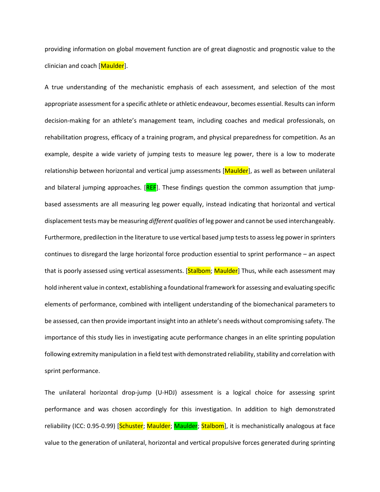providing information on global movement function are of great diagnostic and prognostic value to the clinician and coach [Maulder].

A true understanding of the mechanistic emphasis of each assessment, and selection of the most appropriate assessment for a specific athlete or athletic endeavour, becomes essential. Results can inform decision-making for an athlete's management team, including coaches and medical professionals, on rehabilitation progress, efficacy of a training program, and physical preparedness for competition. As an example, despite a wide variety of jumping tests to measure leg power, there is a low to moderate relationship between horizontal and vertical jump assessments [Maulder], as well as between unilateral and bilateral jumping approaches. [REF]. These findings question the common assumption that jumpbased assessments are all measuring leg power equally, instead indicating that horizontal and vertical displacement tests may be measuring *different qualities* of leg power and cannot be used interchangeably. Furthermore, predilection in the literature to use vertical based jump tests to assess leg power in sprinters continues to disregard the large horizontal force production essential to sprint performance – an aspect that is poorly assessed using vertical assessments. [Stalbom; Maulder] Thus, while each assessment may hold inherent value in context, establishing a foundational framework for assessing and evaluating specific elements of performance, combined with intelligent understanding of the biomechanical parameters to be assessed, can then provide important insight into an athlete's needs without compromising safety. The importance of this study lies in investigating acute performance changes in an elite sprinting population following extremity manipulation in a field test with demonstrated reliability, stability and correlation with sprint performance.

The unilateral horizontal drop-jump (U-HDJ) assessment is a logical choice for assessing sprint performance and was chosen accordingly for this investigation. In addition to high demonstrated reliability (ICC: 0.95-0.99) [Schuster; Maulder; Maulder; Stalbom], it is mechanistically analogous at face value to the generation of unilateral, horizontal and vertical propulsive forces generated during sprinting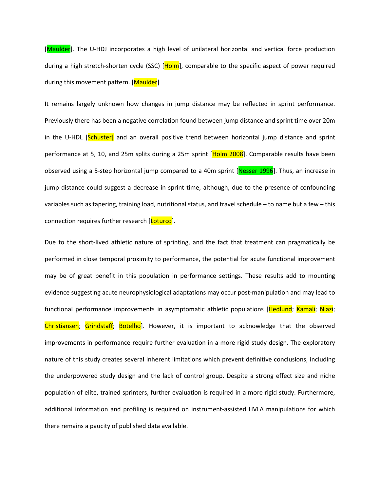[Maulder]. The U-HDJ incorporates a high level of unilateral horizontal and vertical force production during a high stretch-shorten cycle (SSC) [Holm], comparable to the specific aspect of power required during this movement pattern. [Maulder]

It remains largely unknown how changes in jump distance may be reflected in sprint performance. Previously there has been a negative correlation found between jump distance and sprint time over 20m in the U-HDL [Schuster] and an overall positive trend between horizontal jump distance and sprint performance at 5, 10, and 25m splits during a 25m sprint [Holm 2008]. Comparable results have been observed using a 5-step horizontal jump compared to a 40m sprint [Nesser 1996]. Thus, an increase in jump distance could suggest a decrease in sprint time, although, due to the presence of confounding variables such as tapering, training load, nutritional status, and travel schedule – to name but a few – this connection requires further research [Loturco].

Due to the short-lived athletic nature of sprinting, and the fact that treatment can pragmatically be performed in close temporal proximity to performance, the potential for acute functional improvement may be of great benefit in this population in performance settings. These results add to mounting evidence suggesting acute neurophysiological adaptations may occur post-manipulation and may lead to functional performance improvements in asymptomatic athletic populations [Hedlund; Kamali; Niazi; Christiansen; Grindstaff; Botelho]. However, it is important to acknowledge that the observed improvements in performance require further evaluation in a more rigid study design. The exploratory nature of this study creates several inherent limitations which prevent definitive conclusions, including the underpowered study design and the lack of control group. Despite a strong effect size and niche population of elite, trained sprinters, further evaluation is required in a more rigid study. Furthermore, additional information and profiling is required on instrument-assisted HVLA manipulations for which there remains a paucity of published data available.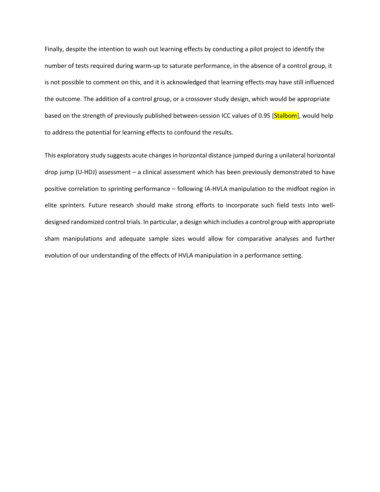Finally, despite the intention to wash out learning effects by conducting a pilot project to identify the number of tests required during warm-up to saturate performance, in the absence of a control group, it is not possible to comment on this, and it is acknowledged that learning effects may have still influenced the outcome. The addition of a control group, or a crossover study design, which would be appropriate based on the strength of previously published between-session ICC values of 0.95 [Stalbom], would help to address the potential for learning effects to confound the results.

This exploratory study suggests acute changes in horizontal distance jumped during a unilateral horizontal drop jump (U-HDJ) assessment – a clinical assessment which has been previously demonstrated to have positive correlation to sprinting performance – following IA-HVLA manipulation to the midfoot region in elite sprinters. Future research should make strong efforts to incorporate such field tests into welldesigned randomized control trials. In particular, a design which includes a control group with appropriate sham manipulations and adequate sample sizes would allow for comparative analyses and further evolution of our understanding of the effects of HVLA manipulation in a performance setting.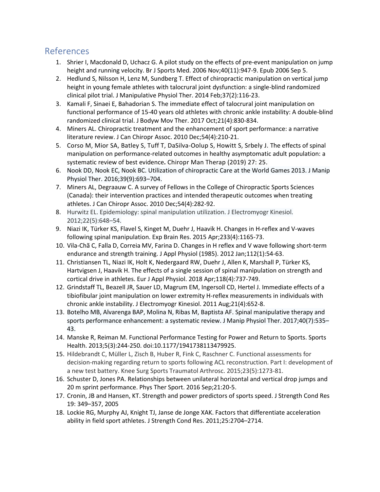# References

- 1. Shrier I, Macdonald D, Uchacz G. A pilot study on the effects of pre-event manipulation on jump height and running velocity. Br J Sports Med. 2006 Nov;40(11):947-9. Epub 2006 Sep 5.
- 2. Hedlund S, Nilsson H, Lenz M, Sundberg T. Effect of chiropractic manipulation on vertical jump height in young female athletes with talocrural joint dysfunction: a single-blind randomized clinical pilot trial. J Manipulative Physiol Ther. 2014 Feb;37(2):116-23.
- 3. Kamali F, Sinaei E, Bahadorian S. The immediate effect of talocrural joint manipulation on functional performance of 15-40 years old athletes with chronic ankle instability: A double-blind randomized clinical trial. J Bodyw Mov Ther. 2017 Oct;21(4):830-834.
- 4. Miners AL. Chiropractic treatment and the enhancement of sport performance: a narrative literature review. J Can Chiropr Assoc. 2010 Dec;54(4):210-21.
- 5. Corso M, Mior SA, Batley S, Tuff T, DaSilva-Oolup S, Howitt S, Srbely J. The effects of spinal manipulation on performance-related outcomes in healthy asymptomatic adult population: a systematic review of best evidence**.** Chiropr Man Therap (2019) 27: 25.
- 6. Nook DD, Nook EC, Nook BC. Utilization of chiropractic Care at the World Games 2013. J Manip Physiol Ther. 2016;39(9):693–704.
- 7. Miners AL, Degraauw C. A survey of Fellows in the College of Chiropractic Sports Sciences (Canada): their intervention practices and intended therapeutic outcomes when treating athletes. J Can Chiropr Assoc. 2010 Dec;54(4):282-92.
- 8. Hurwitz EL. Epidemiology: spinal manipulation utilization. J Electromyogr Kinesiol. 2012;22(5):648–54.
- 9. Niazi IK, Türker KS, Flavel S, Kinget M, Duehr J, Haavik H. Changes in H-reflex and V-waves following spinal manipulation. Exp Brain Res. 2015 Apr;233(4):1165-73.
- 10. Vila-Chã C, Falla D, Correia MV, Farina D. Changes in H reflex and V wave following short-term endurance and strength training. J Appl Physiol (1985). 2012 Jan;112(1):54-63.
- 11. Christiansen TL, Niazi IK, Holt K, Nedergaard RW, Duehr J, Allen K, Marshall P, Türker KS, Hartvigsen J, Haavik H. The effects of a single session of spinal manipulation on strength and cortical drive in athletes. Eur J Appl Physiol. 2018 Apr;118(4):737-749.
- 12. Grindstaff TL, Beazell JR, Sauer LD, Magrum EM, Ingersoll CD, Hertel J. Immediate effects of a tibiofibular joint manipulation on lower extremity H-reflex measurements in individuals with chronic ankle instability. J Electromyogr Kinesiol. 2011 Aug;21(4):652-8.
- 13. Botelho MB, Alvarenga BAP, Molina N, Ribas M, Baptista AF. Spinal manipulative therapy and sports performance enhancement: a systematic review. J Manip Physiol Ther. 2017;40(7):535– 43.
- 14. Manske R, Reiman M. Functional Performance Testing for Power and Return to Sports. Sports Health. 2013;5(3):244-250. doi:10.1177/1941738113479925.
- 15. Hildebrandt C, Müller L, Zisch B, Huber R, Fink C, Raschner C. Functional assessments for decision-making regarding return to sports following ACL reconstruction. Part I: development of a new test battery. Knee Surg Sports Traumatol Arthrosc. 2015;23(5):1273-81.
- 16. Schuster D, Jones PA. Relationships between unilateral horizontal and vertical drop jumps and 20 m sprint performance. Phys Ther Sport. 2016 Sep;21:20-5.
- 17. Cronin, JB and Hansen, KT. Strength and power predictors of sports speed. J Strength Cond Res 19: 349–357, 2005
- 18. Lockie RG, Murphy AJ, Knight TJ, Janse de Jonge XAK. Factors that differentiate acceleration ability in field sport athletes. J Strength Cond Res. 2011;25:2704–2714.